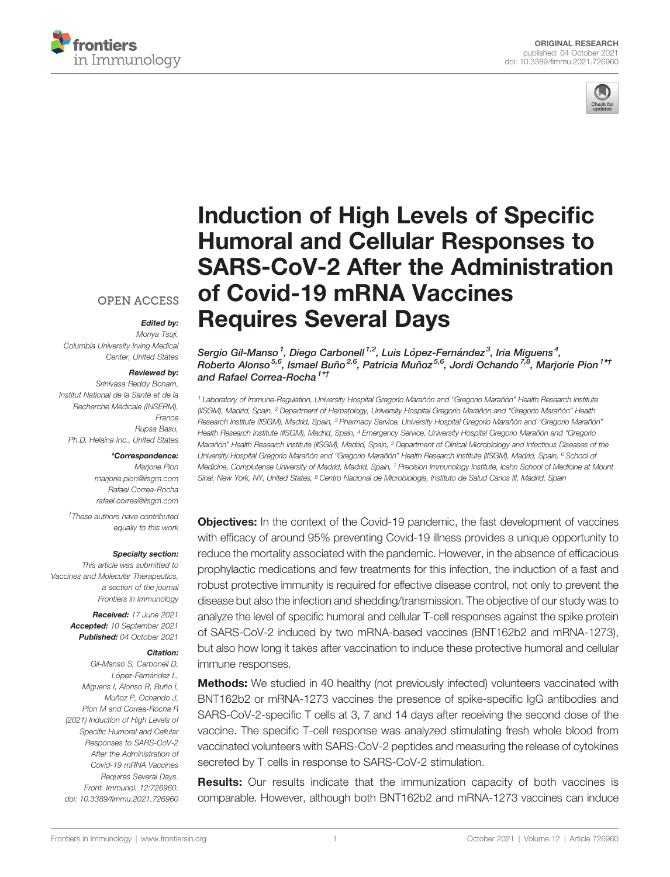



# [Induction of High Levels of Speci](https://www.frontiersin.org/articles/10.3389/fimmu.2021.726960/full)fic [Humoral and Cellular Responses to](https://www.frontiersin.org/articles/10.3389/fimmu.2021.726960/full) [SARS-CoV-2 After the Administration](https://www.frontiersin.org/articles/10.3389/fimmu.2021.726960/full) [of Covid-19 mRNA Vaccines](https://www.frontiersin.org/articles/10.3389/fimmu.2021.726960/full) [Requires Several Days](https://www.frontiersin.org/articles/10.3389/fimmu.2021.726960/full)

### **OPEN ACCESS**

# Edited by:

Moriya Tsuji, Columbia University Irving Medical Center, United States

#### Reviewed by:

Srinivasa Reddy Bonam, Institut National de la Santé et de la Recherche Médicale (INSERM), France Rupsa Basu, Ph.D, Helaina Inc., United States

#### \*Correspondence:

Marjorie Pion [marjorie.pion@iisgm.com](mailto:marjorie.pion@iisgm.com) Rafael Correa-Rocha [rafael.correa@iisgm.com](mailto:rafael.correa@iisgm.com)

† These authors have contributed equally to this work

#### Specialty section:

This article was submitted to Vaccines and Molecular Therapeutics, a section of the journal Frontiers in Immunology

> Received: 17 June 2021 Accepted: 10 September 2021 Published: 04 October 2021

#### Citation:

Gil-Manso S, Carbonell D, López-Fernández L, Miguens I, Alonso R, Buño I, Muñoz P, Ochando J, Pion M and Correa-Rocha R (2021) Induction of High Levels of Specific Humoral and Cellular Responses to SARS-CoV-2 After the Administration of Covid-19 mRNA Vaccines Requires Several Days. Front. Immunol. 12:726960. [doi: 10.3389/fimmu.2021.726960](https://doi.org/10.3389/fimmu.2021.726960)

Sergio Gil-Manso<sup>1</sup>, Diego Carbonell <sup>1,2</sup>, Luis López-Fernández<sup>3</sup>, Iria Miguens<sup>4</sup>, Roberto Alonso<sup>5,6</sup>, Ismael Buño<sup>2,6</sup>, Patricia Muñoz<sup>5,6</sup>, Jordi Ochando<sup>7,8</sup>, Marjorie Pion<sup>1\*†</sup> and Rafael Correa-Rocha<sup>1\*†</sup>

<sup>1</sup> Laboratory of Immune-Regulation, University Hospital Gregorio Marañón and "Gregorio Marañón" Health Research Institute (IISGM), Madrid, Spain, <sup>2</sup> Department of Hematology, University Hospital Gregorio Marañón and "Gregorio Marañón" Health Research Institute (IISGM), Madrid, Spain, <sup>3</sup> Pharmacy Service, University Hospital Gregorio Marañón and "Gregorio Marañón" Health Research Institute (IISGM), Madrid, Spain, 4 Emergency Service, University Hospital Gregorio Marañón and "Gregorio Marañón" Health Research Institute (IISGM), Madrid, Spain, <sup>5</sup> Department of Clinical Microbiology and Infectious Diseases of the University Hospital Gregorio Marañón and "Gregorio Marañón" Health Research Institute (IISGM), Madrid, Spain, <sup>6</sup> School of Medicine, Complutense University of Madrid, Madrid, Spain, <sup>7</sup> Precision Immunology Institute, Icahn School of Medicine at Mount Sinai, New York, NY, United States, <sup>8</sup> Centro Nacional de Microbiología, Instituto de Salud Carlos III, Madrid, Spain

**Objectives:** In the context of the Covid-19 pandemic, the fast development of vaccines with efficacy of around 95% preventing Covid-19 illness provides a unique opportunity to reduce the mortality associated with the pandemic. However, in the absence of efficacious prophylactic medications and few treatments for this infection, the induction of a fast and robust protective immunity is required for effective disease control, not only to prevent the disease but also the infection and shedding/transmission. The objective of our study was to analyze the level of specific humoral and cellular T-cell responses against the spike protein of SARS-CoV-2 induced by two mRNA-based vaccines (BNT162b2 and mRNA-1273), but also how long it takes after vaccination to induce these protective humoral and cellular immune responses.

**Methods:** We studied in 40 healthy (not previously infected) volunteers vaccinated with BNT162b2 or mRNA-1273 vaccines the presence of spike-specific IgG antibodies and SARS-CoV-2-specific T cells at 3, 7 and 14 days after receiving the second dose of the vaccine. The specific T-cell response was analyzed stimulating fresh whole blood from vaccinated volunteers with SARS-CoV-2 peptides and measuring the release of cytokines secreted by T cells in response to SARS-CoV-2 stimulation.

**Results:** Our results indicate that the immunization capacity of both vaccines is comparable. However, although both BNT162b2 and mRNA-1273 vaccines can induce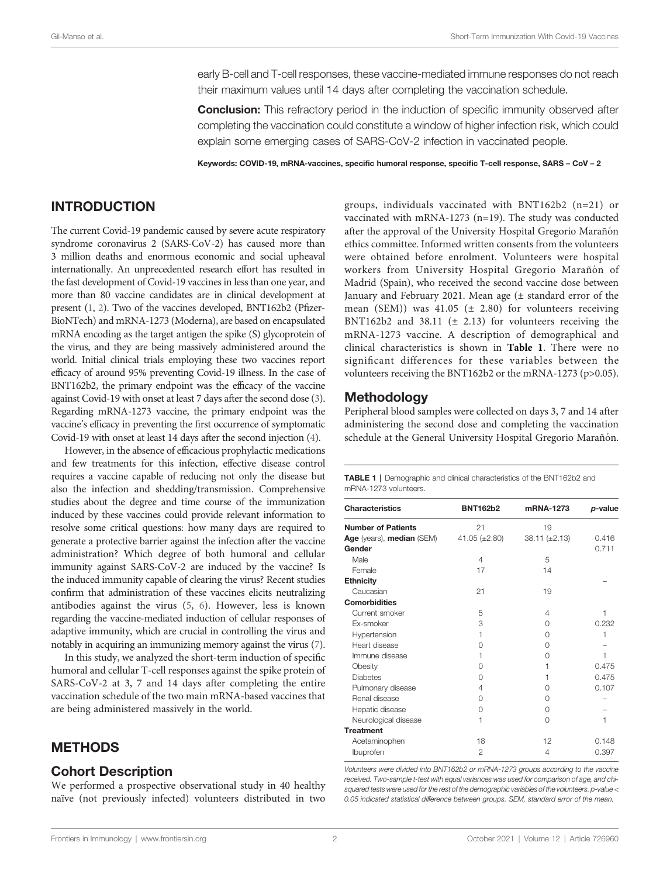early B-cell and T-cell responses, these vaccine-mediated immune responses do not reach their maximum values until 14 days after completing the vaccination schedule.

**Conclusion:** This refractory period in the induction of specific immunity observed after completing the vaccination could constitute a window of higher infection risk, which could explain some emerging cases of SARS-CoV-2 infection in vaccinated people.

Keywords: COVID-19, mRNA-vaccines, specific humoral response, specific T-cell response, SARS – CoV – 2

# <span id="page-1-0"></span>INTRODUCTION

The current Covid-19 pandemic caused by severe acute respiratory syndrome coronavirus 2 (SARS-CoV-2) has caused more than 3 million deaths and enormous economic and social upheaval internationally. An unprecedented research effort has resulted in the fast development of Covid-19 vaccines in less than one year, and more than 80 vaccine candidates are in clinical development at present [\(1](#page-5-0), [2\)](#page-5-0). Two of the vaccines developed, BNT162b2 (Pfizer-BioNTech) and mRNA-1273 (Moderna), are based on encapsulated mRNA encoding as the target antigen the spike (S) glycoprotein of the virus, and they are being massively administered around the world. Initial clinical trials employing these two vaccines report efficacy of around 95% preventing Covid-19 illness. In the case of BNT162b2, the primary endpoint was the efficacy of the vaccine against Covid-19 with onset at least 7 days after the second dose ([3\)](#page-5-0). Regarding mRNA-1273 vaccine, the primary endpoint was the vaccine's efficacy in preventing the first occurrence of symptomatic Covid-19 with onset at least 14 days after the second injection ([4](#page-5-0)).

However, in the absence of efficacious prophylactic medications and few treatments for this infection, effective disease control requires a vaccine capable of reducing not only the disease but also the infection and shedding/transmission. Comprehensive studies about the degree and time course of the immunization induced by these vaccines could provide relevant information to resolve some critical questions: how many days are required to generate a protective barrier against the infection after the vaccine administration? Which degree of both humoral and cellular immunity against SARS-CoV-2 are induced by the vaccine? Is the induced immunity capable of clearing the virus? Recent studies confirm that administration of these vaccines elicits neutralizing antibodies against the virus ([5](#page-5-0), [6\)](#page-5-0). However, less is known regarding the vaccine-mediated induction of cellular responses of adaptive immunity, which are crucial in controlling the virus and notably in acquiring an immunizing memory against the virus [\(7\)](#page-5-0).

In this study, we analyzed the short-term induction of specific humoral and cellular T-cell responses against the spike protein of SARS-CoV-2 at 3, 7 and 14 days after completing the entire vaccination schedule of the two main mRNA-based vaccines that are being administered massively in the world.

# **METHODS**

#### Cohort Description

We performed a prospective observational study in 40 healthy naïve (not previously infected) volunteers distributed in two

groups, individuals vaccinated with BNT162b2 (n=21) or vaccinated with mRNA-1273 (n=19). The study was conducted after the approval of the University Hospital Gregorio Marañón ethics committee. Informed written consents from the volunteers were obtained before enrolment. Volunteers were hospital workers from University Hospital Gregorio Marañón of Madrid (Spain), who received the second vaccine dose between January and February 2021. Mean age (± standard error of the mean (SEM)) was  $41.05 \ (\pm 2.80)$  for volunteers receiving BNT162b2 and 38.11 ( $\pm$  2.13) for volunteers receiving the mRNA-1273 vaccine. A description of demographical and clinical characteristics is shown in Table 1. There were no significant differences for these variables between the volunteers receiving the BNT162b2 or the mRNA-1273 (p>0.05).

#### Methodology

Peripheral blood samples were collected on days 3, 7 and 14 after administering the second dose and completing the vaccination schedule at the General University Hospital Gregorio Marañón.

|                       |  | TABLE 1   Demographic and clinical characteristics of the BNT162b2 and |  |  |
|-----------------------|--|------------------------------------------------------------------------|--|--|
| mRNA-1273 volunteers. |  |                                                                        |  |  |

| <b>Characteristics</b>    | <b>BNT162b2</b>    | mRNA-1273          | p-value |
|---------------------------|--------------------|--------------------|---------|
| <b>Number of Patients</b> | 21                 | 19                 |         |
| Age (years), median (SEM) | $41.05 (\pm 2.80)$ | $38.11 (\pm 2.13)$ | 0.416   |
| Gender                    |                    |                    | 0.711   |
| Male                      | 4                  | 5                  |         |
| Female                    | 17                 | 14                 |         |
| <b>Ethnicity</b>          |                    |                    |         |
| Caucasian                 | 21                 | 19                 |         |
| <b>Comorbidities</b>      |                    |                    |         |
| Current smoker            | 5                  | 4                  | 1       |
| <b>Ex-smoker</b>          | 3                  | $\Omega$           | 0.232   |
| Hypertension              | 1                  | $\Omega$           | 1       |
| Heart disease             | 0                  | $\Omega$           |         |
| Immune disease            | 1                  | $\Omega$           | 1       |
| Obesity                   | $\cap$             | 1                  | 0.475   |
| <b>Diabetes</b>           | $\cap$             | 1                  | 0.475   |
| Pulmonary disease         | 4                  | O                  | 0.107   |
| Renal disease             | 0                  | $\cap$             |         |
| Hepatic disease           | 0                  | $\cap$             |         |
| Neurological disease      | 1                  | $\Omega$           | 1       |
| <b>Treatment</b>          |                    |                    |         |
| Acetaminophen             | 18                 | 12                 | 0.148   |
| Ibuprofen                 | $\mathfrak{p}$     | 4                  | 0.397   |

Volunteers were divided into BNT162b2 or mRNA-1273 groups according to the vaccine received. Two-sample t-test with equal variances was used for comparison of age, and chisquared tests were used for the rest of the demographic variables of the volunteers. p-value < 0.05 indicated statistical difference between groups. SEM, standard error of the mean.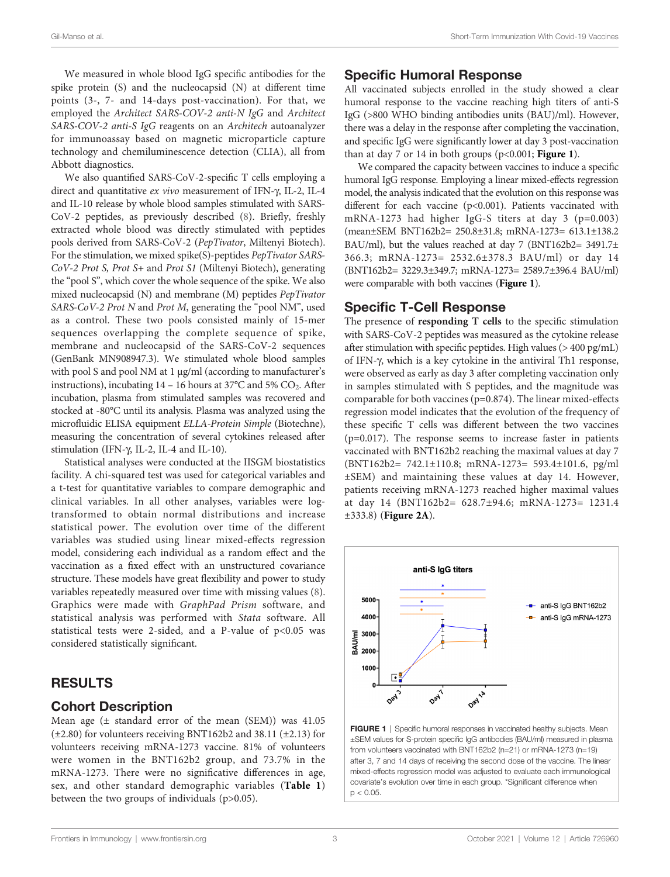We measured in whole blood IgG specific antibodies for the spike protein (S) and the nucleocapsid (N) at different time points (3-, 7- and 14-days post-vaccination). For that, we employed the Architect SARS-COV-2 anti-N IgG and Architect SARS-COV-2 anti-S IgG reagents on an Architech autoanalyzer for immunoassay based on magnetic microparticle capture technology and chemiluminescence detection (CLIA), all from Abbott diagnostics.

We also quantified SARS-CoV-2-specific T cells employing a direct and quantitative ex vivo measurement of IFN- $\gamma$ , IL-2, IL-4 and IL-10 release by whole blood samples stimulated with SARS-CoV-2 peptides, as previously described [\(8\)](#page-6-0). Briefly, freshly extracted whole blood was directly stimulated with peptides pools derived from SARS-CoV-2 (PepTivator, Miltenyi Biotech). For the stimulation, we mixed spike(S)-peptides PepTivator SARS-CoV-2 Prot S, Prot S+ and Prot S1 (Miltenyi Biotech), generating the "pool S", which cover the whole sequence of the spike. We also mixed nucleocapsid (N) and membrane (M) peptides PepTivator SARS-CoV-2 Prot N and Prot M, generating the "pool NM", used as a control. These two pools consisted mainly of 15-mer sequences overlapping the complete sequence of spike, membrane and nucleocapsid of the SARS-CoV-2 sequences (GenBank MN908947.3). We stimulated whole blood samples with pool S and pool NM at 1 µg/ml (according to manufacturer's instructions), incubating  $14 - 16$  hours at 37°C and 5% CO<sub>2</sub>. After incubation, plasma from stimulated samples was recovered and stocked at -80°C until its analysis. Plasma was analyzed using the microfluidic ELISA equipment ELLA-Protein Simple (Biotechne), measuring the concentration of several cytokines released after stimulation (IFN-g, IL-2, IL-4 and IL-10).

Statistical analyses were conducted at the IISGM biostatistics facility. A chi-squared test was used for categorical variables and a t-test for quantitative variables to compare demographic and clinical variables. In all other analyses, variables were logtransformed to obtain normal distributions and increase statistical power. The evolution over time of the different variables was studied using linear mixed-effects regression model, considering each individual as a random effect and the vaccination as a fixed effect with an unstructured covariance structure. These models have great flexibility and power to study variables repeatedly measured over time with missing values [\(8\)](#page-6-0). Graphics were made with GraphPad Prism software, and statistical analysis was performed with Stata software. All statistical tests were 2-sided, and a P-value of  $p<0.05$  was considered statistically significant.

## RESULTS

#### Cohort Description

Mean age (± standard error of the mean (SEM)) was 41.05 (±2.80) for volunteers receiving BNT162b2 and 38.11 (±2.13) for volunteers receiving mRNA-1273 vaccine. 81% of volunteers were women in the BNT162b2 group, and 73.7% in the mRNA-1273. There were no significative differences in age, sex, and other standard demographic variables ([Table 1](#page-1-0)) between the two groups of individuals (p>0.05).

#### Specific Humoral Response

All vaccinated subjects enrolled in the study showed a clear humoral response to the vaccine reaching high titers of anti-S IgG (>800 WHO binding antibodies units (BAU)/ml). However, there was a delay in the response after completing the vaccination, and specific IgG were significantly lower at day 3 post-vaccination than at day 7 or 14 in both groups ( $p<0.001$ ; Figure 1).

We compared the capacity between vaccines to induce a specific humoral IgG response. Employing a linear mixed-effects regression model, the analysis indicated that the evolution on this response was different for each vaccine (p<0.001). Patients vaccinated with mRNA-1273 had higher IgG-S titers at day 3 (p=0.003) (mean±SEM BNT162b2= 250.8±31.8; mRNA-1273= 613.1±138.2 BAU/ml), but the values reached at day 7 (BNT162b2= 3491.7± 366.3; mRNA-1273= 2532.6±378.3 BAU/ml) or day 14 (BNT162b2= 3229.3±349.7; mRNA-1273= 2589.7±396.4 BAU/ml) were comparable with both vaccines (Figure 1).

#### Specific T-Cell Response

The presence of responding T cells to the specific stimulation with SARS-CoV-2 peptides was measured as the cytokine release after stimulation with specific peptides. High values (> 400 pg/mL) of IFN-g, which is a key cytokine in the antiviral Th1 response, were observed as early as day 3 after completing vaccination only in samples stimulated with S peptides, and the magnitude was comparable for both vaccines (p=0.874). The linear mixed-effects regression model indicates that the evolution of the frequency of these specific T cells was different between the two vaccines (p=0.017). The response seems to increase faster in patients vaccinated with BNT162b2 reaching the maximal values at day 7 (BNT162b2= 742.1±110.8; mRNA-1273= 593.4±101.6, pg/ml ±SEM) and maintaining these values at day 14. However, patients receiving mRNA-1273 reached higher maximal values at day 14 (BNT162b2= 628.7±94.6; mRNA-1273= 1231.4 ±333.8) ([Figure 2A](#page-3-0)).



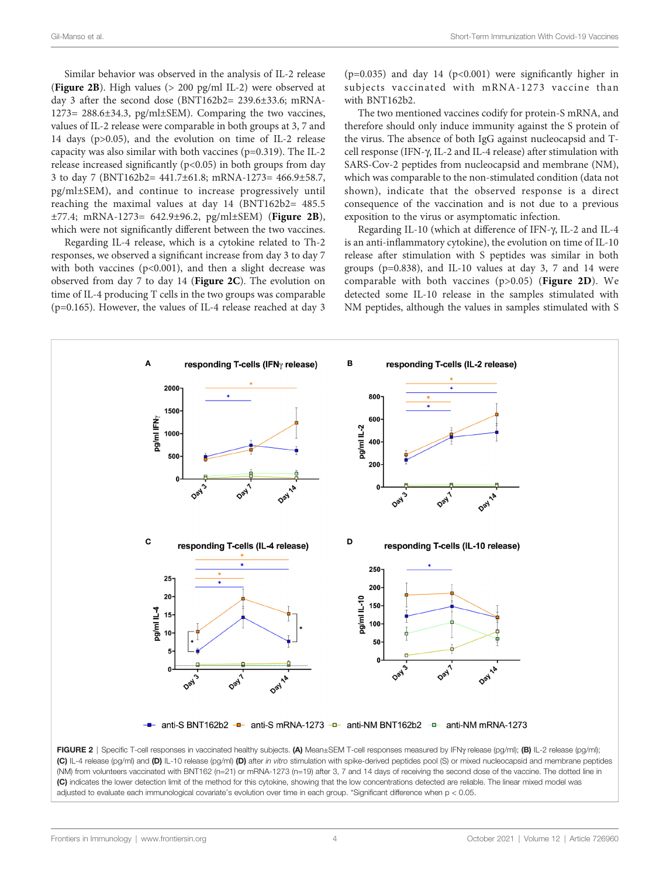<span id="page-3-0"></span>Similar behavior was observed in the analysis of IL-2 release (Figure 2B). High values (> 200 pg/ml IL-2) were observed at day 3 after the second dose (BNT162b2= 239.6±33.6; mRNA-1273= 288.6±34.3, pg/ml±SEM). Comparing the two vaccines, values of IL-2 release were comparable in both groups at 3, 7 and 14 days (p>0.05), and the evolution on time of IL-2 release capacity was also similar with both vaccines (p=0.319). The IL-2 release increased significantly  $(p<0.05)$  in both groups from day 3 to day 7 (BNT162b2= 441.7±61.8; mRNA-1273= 466.9±58.7, pg/ml±SEM), and continue to increase progressively until reaching the maximal values at day 14 (BNT162b2= 485.5 ±77.4; mRNA-1273= 642.9±96.2, pg/ml±SEM) (Figure 2B), which were not significantly different between the two vaccines.

Regarding IL-4 release, which is a cytokine related to Th-2 responses, we observed a significant increase from day 3 to day 7 with both vaccines ( $p$ <0.001), and then a slight decrease was observed from day 7 to day 14 (Figure 2C). The evolution on time of IL-4 producing T cells in the two groups was comparable (p=0.165). However, the values of IL-4 release reached at day 3

( $p=0.035$ ) and day 14 ( $p<0.001$ ) were significantly higher in subjects vaccinated with mRNA-1273 vaccine than with BNT162b2.

The two mentioned vaccines codify for protein-S mRNA, and therefore should only induce immunity against the S protein of the virus. The absence of both IgG against nucleocapsid and Tcell response (IFN-g, IL-2 and IL-4 release) after stimulation with SARS-Cov-2 peptides from nucleocapsid and membrane (NM), which was comparable to the non-stimulated condition (data not shown), indicate that the observed response is a direct consequence of the vaccination and is not due to a previous exposition to the virus or asymptomatic infection.

Regarding IL-10 (which at difference of IFN- $\gamma$ , IL-2 and IL-4 is an anti-inflammatory cytokine), the evolution on time of IL-10 release after stimulation with S peptides was similar in both groups (p=0.838), and IL-10 values at day 3, 7 and 14 were comparable with both vaccines (p>0.05) (Figure 2D). We detected some IL-10 release in the samples stimulated with NM peptides, although the values in samples stimulated with S



(C) IL-4 release (pg/ml) and (D) IL-10 release (pg/ml) (D) after in vitro stimulation with spike-derived peptides pool (S) or mixed nucleocapsid and membrane peptides (NM) from volunteers vaccinated with BNT162 (n=21) or mRNA-1273 (n=19) after 3, 7 and 14 days of receiving the second dose of the vaccine. The dotted line in (C) indicates the lower detection limit of the method for this cytokine, showing that the low concentrations detected are reliable. The linear mixed model was adjusted to evaluate each immunological covariate's evolution over time in each group. \*Significant difference when p < 0.05.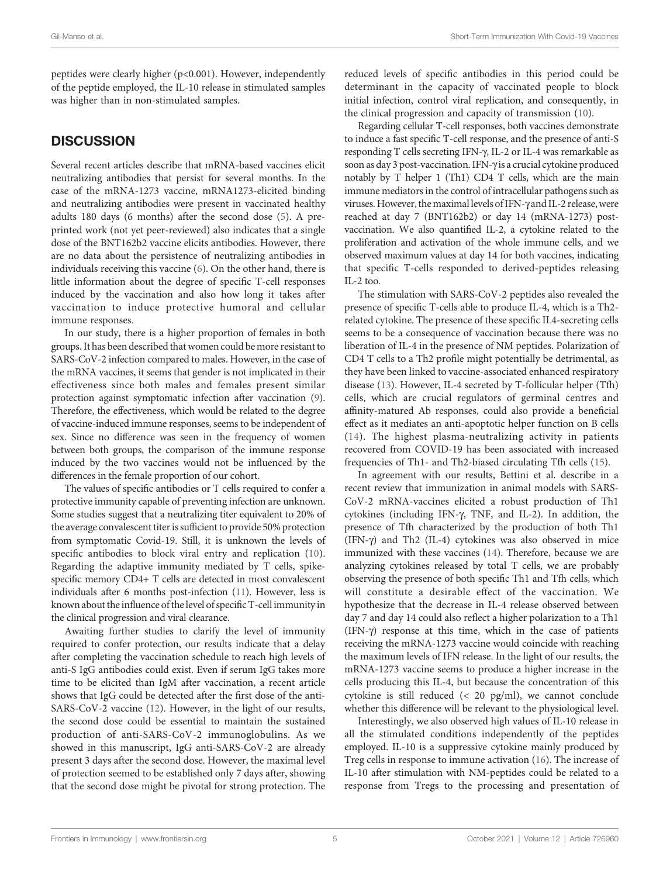peptides were clearly higher (p<0.001). However, independently of the peptide employed, the IL-10 release in stimulated samples was higher than in non-stimulated samples.

# **DISCUSSION**

Several recent articles describe that mRNA-based vaccines elicit neutralizing antibodies that persist for several months. In the case of the mRNA-1273 vaccine, mRNA1273-elicited binding and neutralizing antibodies were present in vaccinated healthy adults 180 days (6 months) after the second dose [\(5\)](#page-5-0). A preprinted work (not yet peer-reviewed) also indicates that a single dose of the BNT162b2 vaccine elicits antibodies. However, there are no data about the persistence of neutralizing antibodies in individuals receiving this vaccine [\(6\)](#page-5-0). On the other hand, there is little information about the degree of specific T-cell responses induced by the vaccination and also how long it takes after vaccination to induce protective humoral and cellular immune responses.

In our study, there is a higher proportion of females in both groups. It has been described that women could be more resistant to SARS-CoV-2 infection compared to males. However, in the case of the mRNA vaccines, it seems that gender is not implicated in their effectiveness since both males and females present similar protection against symptomatic infection after vaccination [\(9\)](#page-6-0). Therefore, the effectiveness, which would be related to the degree of vaccine-induced immune responses, seems to be independent of sex. Since no difference was seen in the frequency of women between both groups, the comparison of the immune response induced by the two vaccines would not be influenced by the differences in the female proportion of our cohort.

The values of specific antibodies or T cells required to confer a protective immunity capable of preventing infection are unknown. Some studies suggest that a neutralizing titer equivalent to 20% of the average convalescent titer is sufficient to provide 50% protection from symptomatic Covid-19. Still, it is unknown the levels of specific antibodies to block viral entry and replication [\(10\)](#page-6-0). Regarding the adaptive immunity mediated by T cells, spikespecific memory CD4+ T cells are detected in most convalescent individuals after 6 months post-infection [\(11](#page-6-0)). However, less is known about the influence of the level of specific T-cell immunity in the clinical progression and viral clearance.

Awaiting further studies to clarify the level of immunity required to confer protection, our results indicate that a delay after completing the vaccination schedule to reach high levels of anti-S IgG antibodies could exist. Even if serum IgG takes more time to be elicited than IgM after vaccination, a recent article shows that IgG could be detected after the first dose of the anti-SARS-CoV-2 vaccine ([12](#page-6-0)). However, in the light of our results, the second dose could be essential to maintain the sustained production of anti-SARS-CoV-2 immunoglobulins. As we showed in this manuscript, IgG anti-SARS-CoV-2 are already present 3 days after the second dose. However, the maximal level of protection seemed to be established only 7 days after, showing that the second dose might be pivotal for strong protection. The

reduced levels of specific antibodies in this period could be determinant in the capacity of vaccinated people to block initial infection, control viral replication, and consequently, in the clinical progression and capacity of transmission ([10\)](#page-6-0).

Regarding cellular T-cell responses, both vaccines demonstrate to induce a fast specific T-cell response, and the presence of anti-S responding T cells secreting IFN-g, IL-2 or IL-4 was remarkable as soon as day 3 post-vaccination. IFN-y is a crucial cytokine produced notably by T helper 1 (Th1) CD4 T cells, which are the main immune mediators in the control of intracellular pathogens such as viruses. However, the maximal levels of IFN-g and IL-2 release,were reached at day 7 (BNT162b2) or day 14 (mRNA-1273) postvaccination. We also quantified IL-2, a cytokine related to the proliferation and activation of the whole immune cells, and we observed maximum values at day 14 for both vaccines, indicating that specific T-cells responded to derived-peptides releasing  $II - 2$  too.

The stimulation with SARS-CoV-2 peptides also revealed the presence of specific T-cells able to produce IL-4, which is a Th2 related cytokine. The presence of these specific IL4-secreting cells seems to be a consequence of vaccination because there was no liberation of IL-4 in the presence of NM peptides. Polarization of CD4 T cells to a Th2 profile might potentially be detrimental, as they have been linked to vaccine-associated enhanced respiratory disease [\(13\)](#page-6-0). However, IL-4 secreted by T-follicular helper (Tfh) cells, which are crucial regulators of germinal centres and affinity-matured Ab responses, could also provide a beneficial effect as it mediates an anti-apoptotic helper function on B cells ([14](#page-6-0)). The highest plasma-neutralizing activity in patients recovered from COVID-19 has been associated with increased frequencies of Th1- and Th2-biased circulating Tfh cells [\(15](#page-6-0)).

In agreement with our results, Bettini et al. describe in a recent review that immunization in animal models with SARS-CoV-2 mRNA-vaccines elicited a robust production of Th1 cytokines (including IFN-g, TNF, and IL-2). In addition, the presence of Tfh characterized by the production of both Th1 (IFN- $\gamma$ ) and Th2 (IL-4) cytokines was also observed in mice immunized with these vaccines ([14\)](#page-6-0). Therefore, because we are analyzing cytokines released by total T cells, we are probably observing the presence of both specific Th1 and Tfh cells, which will constitute a desirable effect of the vaccination. We hypothesize that the decrease in IL-4 release observed between day 7 and day 14 could also reflect a higher polarization to a Th1  $(IFN- $\gamma$ ) response at this time, which in the case of patients$ receiving the mRNA-1273 vaccine would coincide with reaching the maximum levels of IFN release. In the light of our results, the mRNA-1273 vaccine seems to produce a higher increase in the cells producing this IL-4, but because the concentration of this cytokine is still reduced (< 20 pg/ml), we cannot conclude whether this difference will be relevant to the physiological level.

Interestingly, we also observed high values of IL-10 release in all the stimulated conditions independently of the peptides employed. IL-10 is a suppressive cytokine mainly produced by Treg cells in response to immune activation ([16](#page-6-0)). The increase of IL-10 after stimulation with NM-peptides could be related to a response from Tregs to the processing and presentation of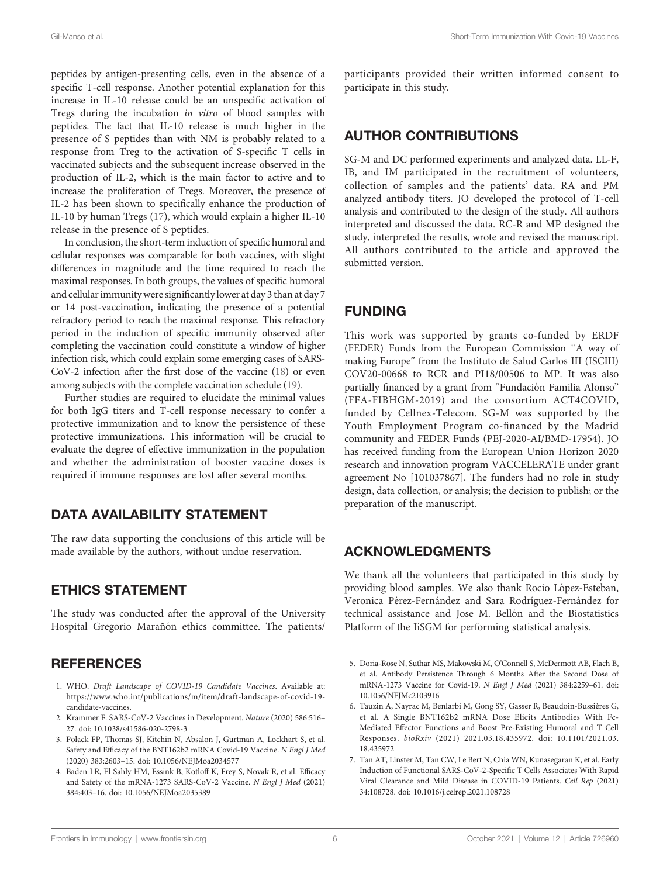<span id="page-5-0"></span>peptides by antigen-presenting cells, even in the absence of a specific T-cell response. Another potential explanation for this increase in IL-10 release could be an unspecific activation of Tregs during the incubation in vitro of blood samples with peptides. The fact that IL-10 release is much higher in the presence of S peptides than with NM is probably related to a response from Treg to the activation of S-specific T cells in vaccinated subjects and the subsequent increase observed in the production of IL-2, which is the main factor to active and to increase the proliferation of Tregs. Moreover, the presence of IL-2 has been shown to specifically enhance the production of IL-10 by human Tregs ([17\)](#page-6-0), which would explain a higher IL-10 release in the presence of S peptides.

In conclusion, the short-term induction of specific humoral and cellular responses was comparable for both vaccines, with slight differences in magnitude and the time required to reach the maximal responses. In both groups, the values of specific humoral and cellular immunitywere significantly lower at day 3 than at day 7 or 14 post-vaccination, indicating the presence of a potential refractory period to reach the maximal response. This refractory period in the induction of specific immunity observed after completing the vaccination could constitute a window of higher infection risk, which could explain some emerging cases of SARS-CoV-2 infection after the first dose of the vaccine ([18\)](#page-6-0) or even among subjects with the complete vaccination schedule [\(19\)](#page-6-0).

Further studies are required to elucidate the minimal values for both IgG titers and T-cell response necessary to confer a protective immunization and to know the persistence of these protective immunizations. This information will be crucial to evaluate the degree of effective immunization in the population and whether the administration of booster vaccine doses is required if immune responses are lost after several months.

# DATA AVAILABILITY STATEMENT

The raw data supporting the conclusions of this article will be made available by the authors, without undue reservation.

# ETHICS STATEMENT

The study was conducted after the approval of the University Hospital Gregorio Marañón ethics committee. The patients/

## **REFERENCES**

- 1. WHO. Draft Landscape of COVID-19 Candidate Vaccines. Available at: [https://www.who.int/publications/m/item/draft-landscape-of-covid-19](https://www.who.int/publications/m/item/draft-landscape-of-covid-19-candidate-vaccines) [candidate-vaccines](https://www.who.int/publications/m/item/draft-landscape-of-covid-19-candidate-vaccines).
- 2. Krammer F. SARS-CoV-2 Vaccines in Development. Nature (2020) 586:516– 27. doi: [10.1038/s41586-020-2798-3](https://doi.org/10.1038/s41586-020-2798-3)
- 3. Polack FP, Thomas SJ, Kitchin N, Absalon J, Gurtman A, Lockhart S, et al. Safety and Efficacy of the BNT162b2 mRNA Covid-19 Vaccine. N Engl J Med (2020) 383:2603–15. doi: [10.1056/NEJMoa2034577](https://doi.org/10.1056/NEJMoa2034577)
- 4. Baden LR, El Sahly HM, Essink B, Kotloff K, Frey S, Novak R, et al. Efficacy and Safety of the mRNA-1273 SARS-CoV-2 Vaccine. N Engl J Med (2021) 384:403–16. doi: [10.1056/NEJMoa2035389](https://doi.org/10.1056/NEJMoa2035389)

participants provided their written informed consent to participate in this study.

# AUTHOR CONTRIBUTIONS

SG-M and DC performed experiments and analyzed data. LL-F, IB, and IM participated in the recruitment of volunteers, collection of samples and the patients' data. RA and PM analyzed antibody titers. JO developed the protocol of T-cell analysis and contributed to the design of the study. All authors interpreted and discussed the data. RC-R and MP designed the study, interpreted the results, wrote and revised the manuscript. All authors contributed to the article and approved the submitted version.

# FUNDING

This work was supported by grants co-funded by ERDF (FEDER) Funds from the European Commission "A way of making Europe" from the Instituto de Salud Carlos III (ISCIII) COV20-00668 to RCR and PI18/00506 to MP. It was also partially financed by a grant from "Fundación Familia Alonso" (FFA-FIBHGM-2019) and the consortium ACT4COVID, funded by Cellnex-Telecom. SG-M was supported by the Youth Employment Program co-financed by the Madrid community and FEDER Funds (PEJ-2020-AI/BMD-17954). JO has received funding from the European Union Horizon 2020 research and innovation program VACCELERATE under grant agreement No [101037867]. The funders had no role in study design, data collection, or analysis; the decision to publish; or the preparation of the manuscript.

## ACKNOWLEDGMENTS

We thank all the volunteers that participated in this study by providing blood samples. We also thank Rocio López-Esteban, Veronica Pérez-Fernández and Sara Rodríguez-Fernández for technical assistance and Jose M. Bellón and the Biostatistics Platform of the IiSGM for performing statistical analysis.

- 5. Doria-Rose N, Suthar MS, Makowski M, O'Connell S, McDermott AB, Flach B, et al. Antibody Persistence Through 6 Months After the Second Dose of mRNA-1273 Vaccine for Covid-19. N Engl J Med (2021) 384:2259–61. doi: [10.1056/NEJMc2103916](https://doi.org/10.1056/NEJMc2103916)
- 6. Tauzin A, Nayrac M, Benlarbi M, Gong SY, Gasser R, Beaudoin-Bussières G, et al. A Single BNT162b2 mRNA Dose Elicits Antibodies With Fc-Mediated Effector Functions and Boost Pre-Existing Humoral and T Cell Responses. bioRxiv (2021) 2021.03.18.435972. doi: [10.1101/2021.03.](https://doi.org/10.1101/2021.03.18.435972) [18.435972](https://doi.org/10.1101/2021.03.18.435972)
- 7. Tan AT, Linster M, Tan CW, Le Bert N, Chia WN, Kunasegaran K, et al. Early Induction of Functional SARS-CoV-2-Specific T Cells Associates With Rapid Viral Clearance and Mild Disease in COVID-19 Patients. Cell Rep (2021) 34:108728. doi: [10.1016/j.celrep.2021.108728](https://doi.org/10.1016/j.celrep.2021.108728)